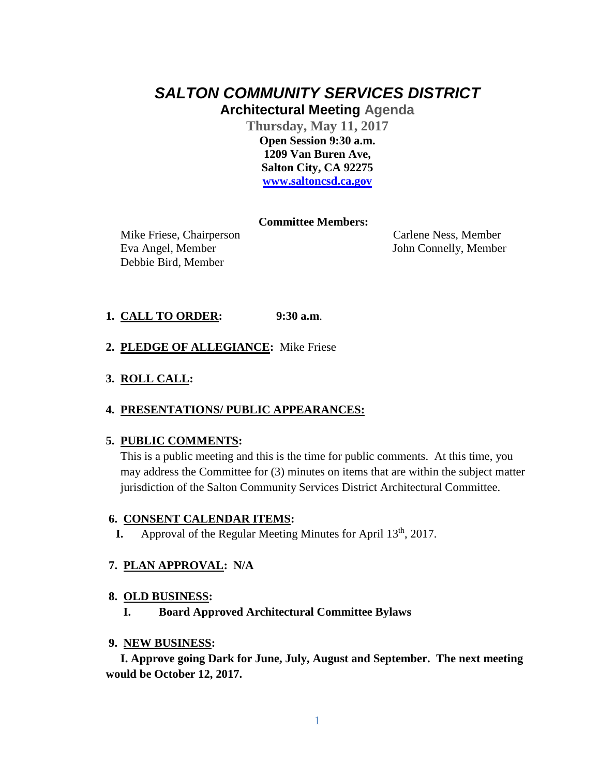# *SALTON COMMUNITY SERVICES DISTRICT* **Architectural Meeting Agenda**

**Thursday, May 11, 2017 Open Session 9:30 a.m. 1209 Van Buren Ave, Salton City, CA 92275 [www.saltoncsd.ca.gov](http://www.saltoncsd.ca.gov/)**

# **Committee Members:**

 Mike Friese, Chairperson Carlene Ness, Member Eva Angel, Member John Connelly, Member Debbie Bird, Member

# **1. CALL TO ORDER: 9:30 a.m**.

**2. PLEDGE OF ALLEGIANCE:** Mike Friese

# **3. ROLL CALL:**

## **4. PRESENTATIONS/ PUBLIC APPEARANCES:**

## **5. PUBLIC COMMENTS:**

This is a public meeting and this is the time for public comments. At this time, you may address the Committee for (3) minutes on items that are within the subject matter jurisdiction of the Salton Community Services District Architectural Committee.

## **6. CONSENT CALENDAR ITEMS:**

**I.** Approval of the Regular Meeting Minutes for April 13<sup>th</sup>, 2017.

## **7. PLAN APPROVAL: N/A**

#### **8. OLD BUSINESS:**

**I. Board Approved Architectural Committee Bylaws**

#### **9. NEW BUSINESS:**

 **I. Approve going Dark for June, July, August and September. The next meeting would be October 12, 2017.**